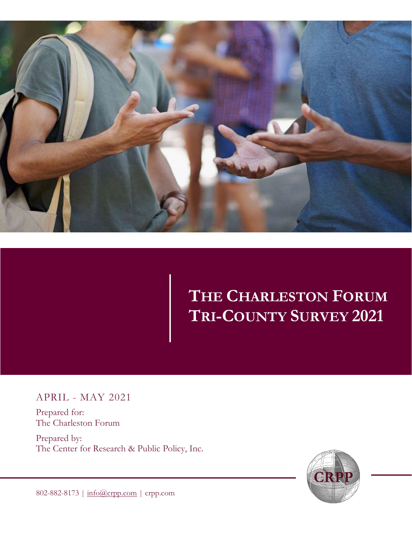

# **THE CHARLESTON FORUM TRI-COUNTY SURVEY 2021**

APRIL - MAY 2021

Prepared for: The Charleston Forum

Prepared by: The Center for Research & Public Policy, Inc.



802-882-8173 | [info@crpp.com](mailto:info@crpp.com) | crpp.com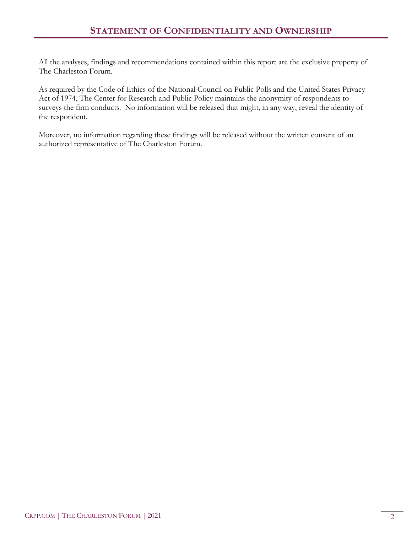All the analyses, findings and recommendations contained within this report are the exclusive property of The Charleston Forum.

As required by the Code of Ethics of the National Council on Public Polls and the United States Privacy Act of 1974, The Center for Research and Public Policy maintains the anonymity of respondents to surveys the firm conducts. No information will be released that might, in any way, reveal the identity of the respondent.

Moreover, no information regarding these findings will be released without the written consent of an authorized representative of The Charleston Forum.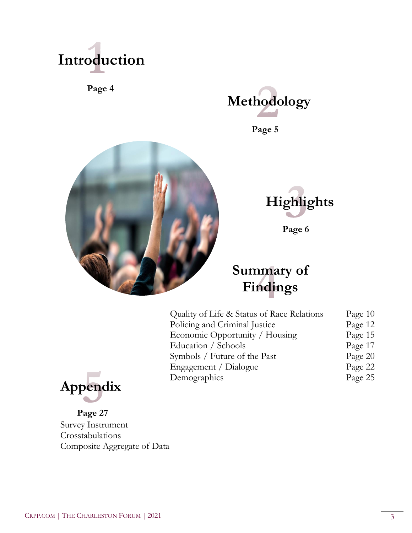

**Page 4**



**Page 5** 





**Page 6** 

# **Summary of Findings**

| Quality of Life & Status of Race Relations | Page $10$ |
|--------------------------------------------|-----------|
| Policing and Criminal Justice              | Page 12   |
| Economic Opportunity / Housing             | Page 15   |
| Education / Schools                        | Page 17   |
| Symbols / Future of the Past               | Page 20   |
| Engagement / Dialogue                      | Page 22   |
| Demographics                               | Page 25   |



**Page 27** Survey Instrument Crosstabulations Composite Aggregate of Data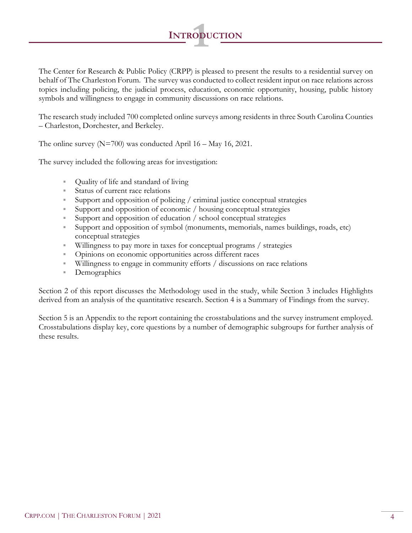

**<sup>I</sup>NTRODUCTION 1**

The research study included 700 completed online surveys among residents in three South Carolina Counties – Charleston, Dorchester, and Berkeley.

The online survey ( $N=700$ ) was conducted April 16 – May 16, 2021.

The survey included the following areas for investigation:

- Quality of life and standard of living
- Status of current race relations
- Support and opposition of policing / criminal justice conceptual strategies
- Support and opposition of economic / housing conceptual strategies
- Support and opposition of education / school conceptual strategies
- Support and opposition of symbol (monuments, memorials, names buildings, roads, etc) conceptual strategies
- Willingness to pay more in taxes for conceptual programs / strategies
- Opinions on economic opportunities across different races
- Willingness to engage in community efforts / discussions on race relations
- Demographics

Section 2 of this report discusses the Methodology used in the study, while Section 3 includes Highlights derived from an analysis of the quantitative research. Section 4 is a Summary of Findings from the survey.

Section 5 is an Appendix to the report containing the crosstabulations and the survey instrument employed. Crosstabulations display key, core questions by a number of demographic subgroups for further analysis of these results.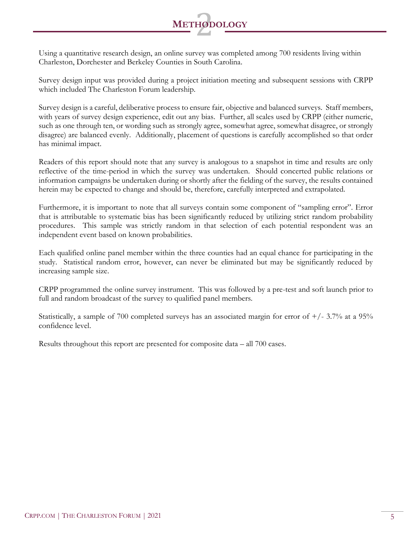

Using a quantitative research design, an online survey was completed among 700 residents living within Charleston, Dorchester and Berkeley Counties in South Carolina.

Survey design input was provided during a project initiation meeting and subsequent sessions with CRPP which included The Charleston Forum leadership.

Survey design is a careful, deliberative process to ensure fair, objective and balanced surveys. Staff members, with years of survey design experience, edit out any bias. Further, all scales used by CRPP (either numeric, such as one through ten, or wording such as strongly agree, somewhat agree, somewhat disagree, or strongly disagree) are balanced evenly. Additionally, placement of questions is carefully accomplished so that order has minimal impact.

Readers of this report should note that any survey is analogous to a snapshot in time and results are only reflective of the time-period in which the survey was undertaken. Should concerted public relations or information campaigns be undertaken during or shortly after the fielding of the survey, the results contained herein may be expected to change and should be, therefore, carefully interpreted and extrapolated.

Furthermore, it is important to note that all surveys contain some component of "sampling error". Error that is attributable to systematic bias has been significantly reduced by utilizing strict random probability procedures. This sample was strictly random in that selection of each potential respondent was an independent event based on known probabilities.

Each qualified online panel member within the three counties had an equal chance for participating in the study. Statistical random error, however, can never be eliminated but may be significantly reduced by increasing sample size.

CRPP programmed the online survey instrument. This was followed by a pre-test and soft launch prior to full and random broadcast of the survey to qualified panel members.

Statistically, a sample of 700 completed surveys has an associated margin for error of  $+/- 3.7\%$  at a 95% confidence level.

Results throughout this report are presented for composite data – all 700 cases.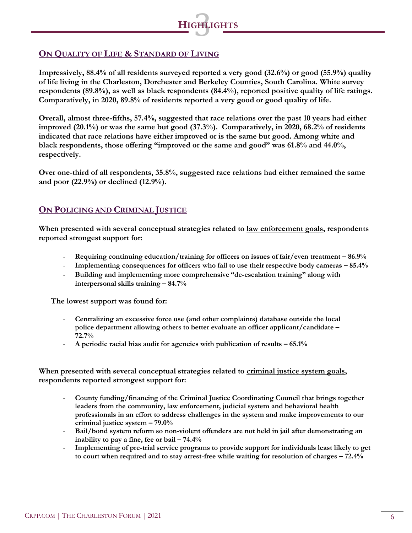

#### **ON QUALITY OF LIFE & STANDARD OF LIVING**

**Impressively, 88.4% of all residents surveyed reported a very good (32.6%) or good (55.9%) quality of life living in the Charleston, Dorchester and Berkeley Counties, South Carolina. White survey respondents (89.8%), as well as black respondents (84.4%), reported positive quality of life ratings. Comparatively, in 2020, 89.8% of residents reported a very good or good quality of life.** 

**Overall, almost three-fifths, 57.4%, suggested that race relations over the past 10 years had either improved (20.1%) or was the same but good (37.3%). Comparatively, in 2020, 68.2% of residents indicated that race relations have either improved or is the same but good. Among white and black respondents, those offering "improved or the same and good" was 61.8% and 44.0%, respectively.**

**Over one-third of all respondents, 35.8%, suggested race relations had either remained the same and poor (22.9%) or declined (12.9%).** 

#### **ON POLICING AND CRIMINAL JUSTICE**

When presented with several conceptual strategies related to **law enforcement goals**, respondents **reported strongest support for:** 

- **Requiring continuing education/training for officers on issues of fair/even treatment – 86.9%**
- **Implementing consequences for officers who fail to use their respective body cameras – 85.4%**
- **Building and implementing more comprehensive "de-escalation training" along with interpersonal skills training – 84.7%**

**The lowest support was found for:** 

- **Centralizing an excessive force use (and other complaints) database outside the local police department allowing others to better evaluate an officer applicant/candidate – 72.7%**
- **A periodic racial bias audit for agencies with publication of results – 65.1%**

When presented with several conceptual strategies related to criminal justice system goals, **respondents reported strongest support for:** 

- **County funding/financing of the Criminal Justice Coordinating Council that brings together leaders from the community, law enforcement, judicial system and behavioral health professionals in an effort to address challenges in the system and make improvements to our criminal justice system – 79.0%**
- **Bail/bond system reform so non-violent offenders are not held in jail after demonstrating an inability to pay a fine, fee or bail – 74.4%**
- **Implementing of pre-trial service programs to provide support for individuals least likely to get to court when required and to stay arrest-free while waiting for resolution of charges – 72.4%**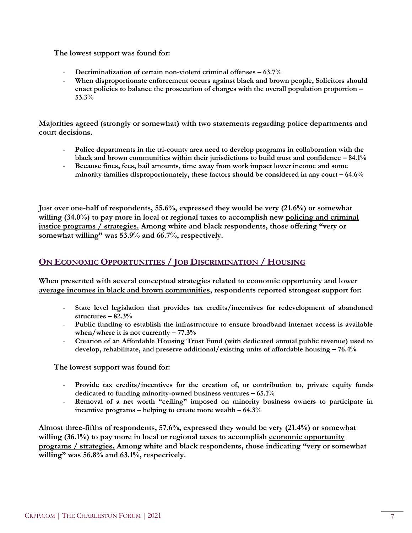#### **The lowest support was found for:**

- **Decriminalization of certain non-violent criminal offenses – 63.7%**
- When disproportionate enforcement occurs against black and brown people, Solicitors should **enact policies to balance the prosecution of charges with the overall population proportion – 53.3%**

**Majorities agreed (strongly or somewhat) with two statements regarding police departments and court decisions.** 

- Police departments in the tri-county area need to develop programs in collaboration with the **black and brown communities within their jurisdictions to build trust and confidence – 84.1%**
- **Because fines, fees, bail amounts, time away from work impact lower income and some minority families disproportionately, these factors should be considered in any court – 64.6%**

**Just over one-half of respondents, 55.6%, expressed they would be very (21.6%) or somewhat willing (34.0%) to pay more in local or regional taxes to accomplish new policing and criminal justice programs / strategies. Among white and black respondents, those offering "very or somewhat willing" was 53.9% and 66.7%, respectively.**

# **ON ECONOMIC OPPORTUNITIES / JOB DISCRIMINATION / HOUSING**

**When presented with several conceptual strategies related to economic opportunity and lower average incomes in black and brown communities, respondents reported strongest support for:** 

- **State level legislation that provides tax credits/incentives for redevelopment of abandoned structures – 82.3%**
- **Public funding to establish the infrastructure to ensure broadband internet access is available when/where it is not currently – 77.3%**
- **Creation of an Affordable Housing Trust Fund (with dedicated annual public revenue) used to develop, rehabilitate, and preserve additional/existing units of affordable housing – 76.4%**

**The lowest support was found for:** 

- **Provide tax credits/incentives for the creation of, or contribution to, private equity funds dedicated to funding minority-owned business ventures – 65.1%**
- **Removal of a net worth "ceiling" imposed on minority business owners to participate in incentive programs – helping to create more wealth – 64.3%**

**Almost three-fifths of respondents, 57.6%, expressed they would be very (21.4%) or somewhat willing (36.1%) to pay more in local or regional taxes to accomplish economic opportunity programs / strategies. Among white and black respondents, those indicating "very or somewhat willing" was 56.8% and 63.1%, respectively.**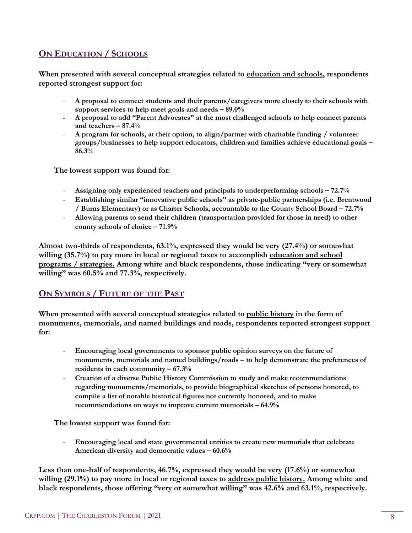### **ON EDUCATION / SCHOOLS**

**When presented with several conceptual strategies related to education and schools, respondents reported strongest support for:** 

- **A proposal to connect students and their parents/caregivers more closely to their schools with support services to help meet goals and needs – 89.0%**
- **A proposal to add "Parent Advocates" at the most challenged schools to help connect parents and teachers – 87.4%**
- **A program for schools, at their option, to align/partner with charitable funding / volunteer groups/businesses to help support educators, children and families achieve educational goals – 86.3%**

**The lowest support was found for:**

- **Assigning only experienced teachers and principals to underperforming schools – 72.7%**
- **Establishing similar "innovative public schools" as private-public partnerships (i.e. Brentwood / Burns Elementary) or as Charter Schools, accountable to the County School Board – 72.7%**
- **Allowing parents to send their children (transportation provided for those in need) to other county schools of choice – 71.9%**

**Almost two-thirds of respondents, 63.1%, expressed they would be very (27.4%) or somewhat willing (35.7%) to pay more in local or regional taxes to accomplish education and school programs / strategies. Among white and black respondents, those indicating "very or somewhat willing" was 60.5% and 77.3%, respectively.**

#### **ON SYMBOLS / FUTURE OF THE PAST**

**When presented with several conceptual strategies related to public history in the form of monuments, memorials, and named buildings and roads, respondents reported strongest support for:** 

- **Encouraging local governments to sponsor public opinion surveys on the future of monuments, memorials and named buildings/roads – to help demonstrate the preferences of residents in each community – 67.3%**
- **Creation of a diverse Public History Commission to study and make recommendations regarding monuments/memorials, to provide biographical sketches of persons honored, to compile a list of notable historical figures not currently honored, and to make recommendations on ways to improve current memorials – 64.9%**

**The lowest support was found for:**

- **Encouraging local and state governmental entities to create new memorials that celebrate American diversity and democratic values – 60.6%**

**Less than one-half of respondents, 46.7%, expressed they would be very (17.6%) or somewhat willing (29.1%) to pay more in local or regional taxes to address public history. Among white and black respondents, those offering "very or somewhat willing" was 42.6% and 63.1%, respectively.**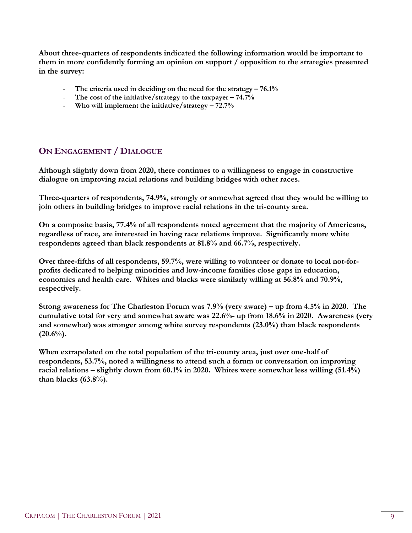**About three-quarters of respondents indicated the following information would be important to them in more confidently forming an opinion on support / opposition to the strategies presented in the survey:** 

- **The criteria used in deciding on the need for the strategy – 76.1%**
- **The cost of the initiative/strategy to the taxpayer – 74.7%**
- **Who will implement the initiative/strategy – 72.7%**

### **ON ENGAGEMENT / DIALOGUE**

**Although slightly down from 2020, there continues to a willingness to engage in constructive dialogue on improving racial relations and building bridges with other races.** 

**Three-quarters of respondents, 74.9%, strongly or somewhat agreed that they would be willing to join others in building bridges to improve racial relations in the tri-county area.**

**On a composite basis, 77.4% of all respondents noted agreement that the majority of Americans, regardless of race, are interested in having race relations improve. Significantly more white respondents agreed than black respondents at 81.8% and 66.7%, respectively.**

**Over three-fifths of all respondents, 59.7%, were willing to volunteer or donate to local not-forprofits dedicated to helping minorities and low-income families close gaps in education, economics and health care. Whites and blacks were similarly willing at 56.8% and 70.9%, respectively.** 

**Strong awareness for The Charleston Forum was 7.9% (very aware) – up from 4.5% in 2020. The cumulative total for very and somewhat aware was 22.6%- up from 18.6% in 2020. Awareness (very and somewhat) was stronger among white survey respondents (23.0%) than black respondents (20.6%).**

**When extrapolated on the total population of the tri-county area, just over one-half of respondents, 53.7%, noted a willingness to attend such a forum or conversation on improving racial relations – slightly down from 60.1% in 2020. Whites were somewhat less willing (51.4%) than blacks (63.8%).**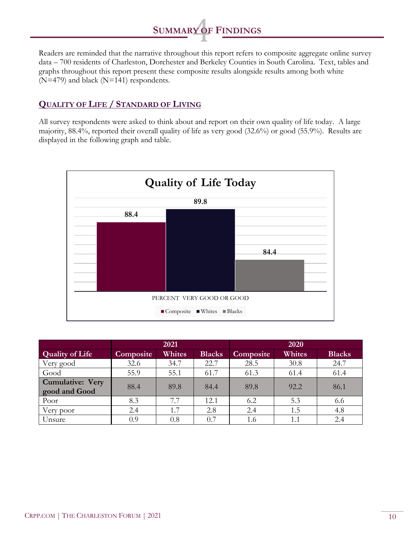

Readers are reminded that the narrative throughout this report refers to composite aggregate online survey data – 700 residents of Charleston, Dorchester and Berkeley Counties in South Carolina. Text, tables and graphs throughout this report present these composite results alongside results among both white (N=479) and black (N=141) respondents.

#### **QUALITY OF LIFE / STANDARD OF LIVING**

All survey respondents were asked to think about and report on their own quality of life today. A large majority, 88.4%, reported their overall quality of life as very good (32.6%) or good (55.9%). Results are displayed in the following graph and table.



|                                   | 2021             |        | 2020          |           |        |               |
|-----------------------------------|------------------|--------|---------------|-----------|--------|---------------|
| <b>Quality of Life</b>            | <b>Composite</b> | Whites | <b>Blacks</b> | Composite | Whites | <b>Blacks</b> |
| Very good                         | 32.6             | 34.7   | 22.7          | 28.5      | 30.8   | 24.7          |
| Good                              | 55.9             | 55.1   | 61.7          | 61.3      | 61.4   | 61.4          |
| Cumulative: Very<br>good and Good | 88.4             | 89.8   | 84.4          | 89.8      | 92.2   | 86.1          |
| Poor                              | 8.3              |        | 12.1          | 6.2       | 5.3    | 6.6           |
| Very poor                         | 2.4              | 1.7    | 2.8           | 2.4       | 1.5    | 4.8           |
| Unsure                            | 0.9              | 0.8    | 0.7           | 1.6       |        | 2.4           |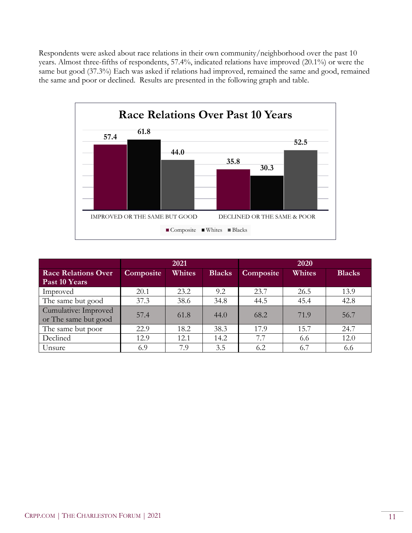Respondents were asked about race relations in their own community/neighborhood over the past 10 years. Almost three-fifths of respondents, 57.4%, indicated relations have improved (20.1%) or were the same but good (37.3%) Each was asked if relations had improved, remained the same and good, remained the same and poor or declined. Results are presented in the following graph and table.



|                                              | 2021      |        | 2020          |           |        |               |
|----------------------------------------------|-----------|--------|---------------|-----------|--------|---------------|
| <b>Race Relations Over</b>                   | Composite | Whites | <b>Blacks</b> | Composite | Whites | <b>Blacks</b> |
| Past 10 Years                                |           |        |               |           |        |               |
| Improved                                     | 20.1      | 23.2   | 9.2           | 23.7      | 26.5   | 13.9          |
| The same but good                            | 37.3      | 38.6   | 34.8          | 44.5      | 45.4   | 42.8          |
| Cumulative: Improved<br>or The same but good | 57.4      | 61.8   | 44.0          | 68.2      | 71.9   | 56.7          |
| The same but poor                            | 22.9      | 18.2   | 38.3          | 17.9      | 15.7   | 24.7          |
| Declined                                     | 12.9      | 12.1   | 14.2          | 7.7       | 6.6    | 12.0          |
| Unsure                                       | 6.9       | 7.9    | 3.5           | 6.2       | 6.7    | 6.6           |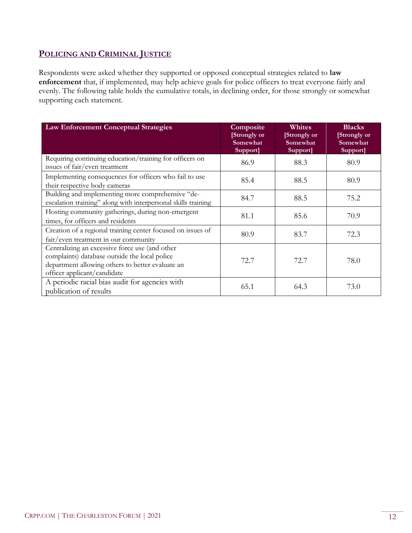#### **POLICING AND CRIMINAL JUSTICE**

Respondents were asked whether they supported or opposed conceptual strategies related to **law enforcement** that, if implemented, may help achieve goals for police officers to treat everyone fairly and evenly. The following table holds the cumulative totals, in declining order, for those strongly or somewhat supporting each statement.

| <b>Law Enforcement Conceptual Strategies</b>                                                                                                                                       | Composite<br>[Strongly or<br>Somewhat<br>Support] | Whites<br>[Strongly or<br>Somewhat<br>Support] | <b>Blacks</b><br>[Strongly or<br>Somewhat<br>Support] |
|------------------------------------------------------------------------------------------------------------------------------------------------------------------------------------|---------------------------------------------------|------------------------------------------------|-------------------------------------------------------|
| Requiring continuing education/training for officers on<br>issues of fair/even treatment                                                                                           | 86.9                                              | 88.3                                           | 80.9                                                  |
| Implementing consequences for officers who fail to use<br>their respective body cameras                                                                                            | 85.4                                              | 88.5                                           | 80.9                                                  |
| Building and implementing more comprehensive "de-<br>escalation training" along with interpersonal skills training                                                                 | 84.7                                              | 88.5                                           | 75.2                                                  |
| Hosting community gatherings, during non-emergent<br>times, for officers and residents                                                                                             | 81.1                                              | 85.6                                           | 70.9                                                  |
| Creation of a regional training center focused on issues of<br>fair/even treatment in our community                                                                                | 80.9                                              | 83.7                                           | 72.3                                                  |
| Centralizing an excessive force use (and other<br>complaints) database outside the local police<br>department allowing others to better evaluate an<br>officer applicant/candidate | 72.7                                              | 72.7                                           | 78.0                                                  |
| A periodic racial bias audit for agencies with<br>publication of results                                                                                                           | 65.1                                              | 64.3                                           | 73.0                                                  |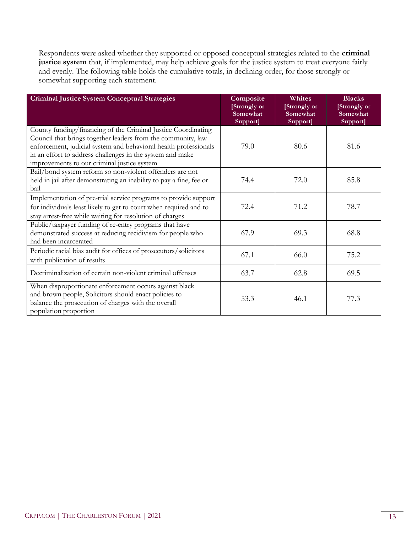Respondents were asked whether they supported or opposed conceptual strategies related to the **criminal justice system** that, if implemented, may help achieve goals for the justice system to treat everyone fairly and evenly. The following table holds the cumulative totals, in declining order, for those strongly or somewhat supporting each statement.

| <b>Criminal Justice System Conceptual Strategies</b>                                                                                                                                                                                                                                                          | Composite<br>[Strongly or<br>Somewhat<br>Support] | <b>Whites</b><br>[Strongly or<br>Somewhat<br>Support] | <b>Blacks</b><br>[Strongly or<br>Somewhat<br>Support] |
|---------------------------------------------------------------------------------------------------------------------------------------------------------------------------------------------------------------------------------------------------------------------------------------------------------------|---------------------------------------------------|-------------------------------------------------------|-------------------------------------------------------|
| County funding/financing of the Criminal Justice Coordinating<br>Council that brings together leaders from the community, law<br>enforcement, judicial system and behavioral health professionals<br>in an effort to address challenges in the system and make<br>improvements to our criminal justice system | 79.0                                              | 80.6                                                  | 81.6                                                  |
| Bail/bond system reform so non-violent offenders are not<br>held in jail after demonstrating an inability to pay a fine, fee or<br>bail                                                                                                                                                                       | 74.4                                              | 72.0                                                  | 85.8                                                  |
| Implementation of pre-trial service programs to provide support<br>for individuals least likely to get to court when required and to<br>stay arrest-free while waiting for resolution of charges                                                                                                              | 72.4                                              | 71.2                                                  | 78.7                                                  |
| Public/taxpayer funding of re-entry programs that have<br>demonstrated success at reducing recidivism for people who<br>had been incarcerated                                                                                                                                                                 | 67.9                                              | 69.3                                                  | 68.8                                                  |
| Periodic racial bias audit for offices of prosecutors/solicitors<br>with publication of results                                                                                                                                                                                                               | 67.1                                              | 66.0                                                  | 75.2                                                  |
| Decriminalization of certain non-violent criminal offenses                                                                                                                                                                                                                                                    | 63.7                                              | 62.8                                                  | 69.5                                                  |
| When disproportionate enforcement occurs against black<br>and brown people, Solicitors should enact policies to<br>balance the prosecution of charges with the overall<br>population proportion                                                                                                               | 53.3                                              | 46.1                                                  | 77.3                                                  |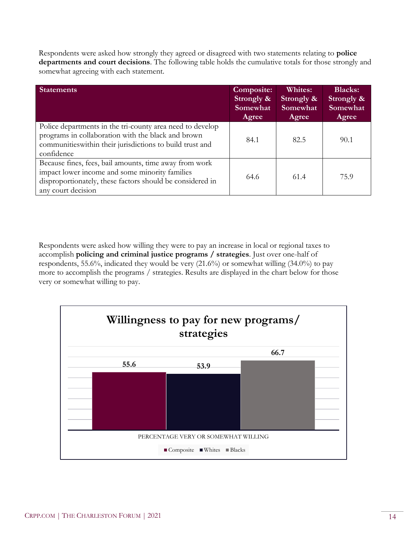Respondents were asked how strongly they agreed or disagreed with two statements relating to **police departments and court decisions**. The following table holds the cumulative totals for those strongly and somewhat agreeing with each statement.

| <b>Statements</b>                                                                                                                                                                           | Composite:<br>Strongly &<br>Somewhat<br>Agree | <b>Whites:</b><br>Strongly &<br>Somewhat<br>Agree | <b>Blacks:</b><br>Strongly &<br>Somewhat<br>Agree |
|---------------------------------------------------------------------------------------------------------------------------------------------------------------------------------------------|-----------------------------------------------|---------------------------------------------------|---------------------------------------------------|
| Police departments in the tri-county area need to develop<br>programs in collaboration with the black and brown<br>communities within their jurisdictions to build trust and<br>confidence  | 84.1                                          | 82.5                                              | 90.1                                              |
| Because fines, fees, bail amounts, time away from work<br>impact lower income and some minority families<br>disproportionately, these factors should be considered in<br>any court decision | 64.6                                          | 61.4                                              | 75.9                                              |

Respondents were asked how willing they were to pay an increase in local or regional taxes to accomplish **policing and criminal justice programs / strategies**. Just over one-half of respondents, 55.6%, indicated they would be very (21.6%) or somewhat willing (34.0%) to pay more to accomplish the programs / strategies. Results are displayed in the chart below for those very or somewhat willing to pay.

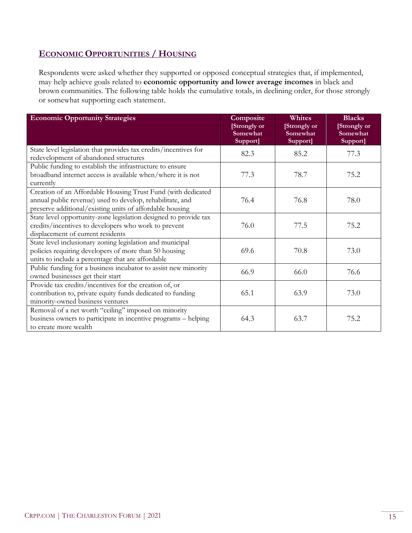#### **ECONOMIC OPPORTUNITIES / HOUSING**

Respondents were asked whether they supported or opposed conceptual strategies that, if implemented, may help achieve goals related to **economic opportunity and lower average incomes** in black and brown communities. The following table holds the cumulative totals, in declining order, for those strongly or somewhat supporting each statement.

| <b>Economic Opportunity Strategies</b>                                                                                                                                                | Composite<br>[Strongly or<br>Somewhat<br>Support] | Whites<br>[Strongly or<br>Somewhat<br>Support] | <b>Blacks</b><br>[Strongly or<br>Somewhat<br>Support] |
|---------------------------------------------------------------------------------------------------------------------------------------------------------------------------------------|---------------------------------------------------|------------------------------------------------|-------------------------------------------------------|
| State level legislation that provides tax credits/incentives for<br>redevelopment of abandoned structures                                                                             | 82.3                                              | 85.2                                           | 77.3                                                  |
| Public funding to establish the infrastructure to ensure<br>broadband internet access is available when/where it is not<br>currently                                                  | 77.3                                              | 78.7                                           | 75.2                                                  |
| Creation of an Affordable Housing Trust Fund (with dedicated<br>annual public revenue) used to develop, rehabilitate, and<br>preserve additional/existing units of affordable housing | 76.4                                              | 76.8                                           | 78.0                                                  |
| State level opportunity-zone legislation designed to provide tax<br>credits/incentives to developers who work to prevent<br>displacement of current residents                         | 76.0                                              | 77.5                                           | 75.2                                                  |
| State level inclusionary zoning legislation and municipal<br>policies requiring developers of more than 50 housing<br>units to include a percentage that are affordable               | 69.6                                              | 70.8                                           | 73.0                                                  |
| Public funding for a business incubator to assist new minority<br>owned businesses get their start                                                                                    | 66.9                                              | 66.0                                           | 76.6                                                  |
| Provide tax credits/incentives for the creation of, or<br>contribution to, private equity funds dedicated to funding<br>minority-owned business ventures                              | 65.1                                              | 63.9                                           | 73.0                                                  |
| Removal of a net worth "ceiling" imposed on minority<br>business owners to participate in incentive programs - helping<br>to create more wealth                                       | 64.3                                              | 63.7                                           | 75.2                                                  |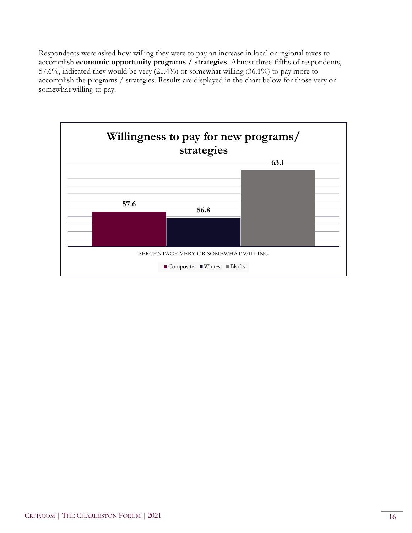Respondents were asked how willing they were to pay an increase in local or regional taxes to accomplish **economic opportunity programs / strategies**. Almost three-fifths of respondents, 57.6%, indicated they would be very (21.4%) or somewhat willing (36.1%) to pay more to accomplish the programs / strategies. Results are displayed in the chart below for those very or somewhat willing to pay.

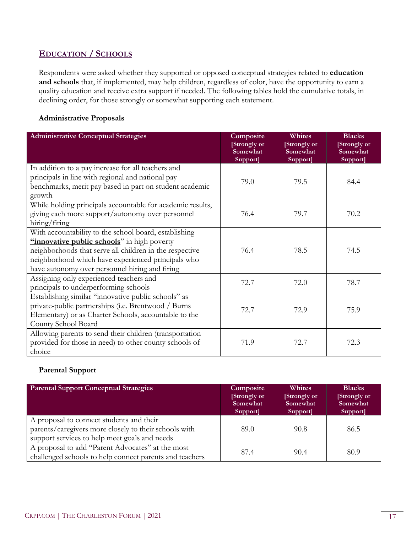#### **EDUCATION / SCHOOLS**

Respondents were asked whether they supported or opposed conceptual strategies related to **education and schools** that, if implemented, may help children, regardless of color, have the opportunity to earn a quality education and receive extra support if needed. The following tables hold the cumulative totals, in declining order, for those strongly or somewhat supporting each statement.

#### **Administrative Proposals**

| <b>Administrative Conceptual Strategies</b>                                                                                                                                                                                                                             | Composite<br>[Strongly or<br>Somewhat<br>Support] | Whites<br>[Strongly or<br>Somewhat<br>Support] | <b>Blacks</b><br>[Strongly or<br>Somewhat<br>Support] |
|-------------------------------------------------------------------------------------------------------------------------------------------------------------------------------------------------------------------------------------------------------------------------|---------------------------------------------------|------------------------------------------------|-------------------------------------------------------|
| In addition to a pay increase for all teachers and<br>principals in line with regional and national pay<br>benchmarks, merit pay based in part on student academic<br>growth                                                                                            | 79.0                                              | 79.5                                           | 84.4                                                  |
| While holding principals accountable for academic results,<br>giving each more support/autonomy over personnel<br>hiring/firing                                                                                                                                         | 76.4                                              | 79.7                                           | 70.2                                                  |
| With accountability to the school board, establishing<br>"innovative public schools" in high poverty<br>neighborhoods that serve all children in the respective<br>neighborhood which have experienced principals who<br>have autonomy over personnel hiring and firing | 76.4                                              | 78.5                                           | 74.5                                                  |
| Assigning only experienced teachers and<br>principals to underperforming schools                                                                                                                                                                                        | 72.7                                              | 72.0                                           | 78.7                                                  |
| Establishing similar "innovative public schools" as<br>private-public partnerships (i.e. Brentwood / Burns<br>Elementary) or as Charter Schools, accountable to the<br>County School Board                                                                              | 72.7                                              | 72.9                                           | 75.9                                                  |
| Allowing parents to send their children (transportation<br>provided for those in need) to other county schools of<br>choice                                                                                                                                             | 71.9                                              | 72.7                                           | 72.3                                                  |

#### **Parental Support**

| <b>Parental Support Conceptual Strategies</b>                                                                                                      | Composite<br>[Strongly or<br>Somewhat<br>Support] | <b>Whites</b><br>[Strongly or<br>Somewhat<br>Support] | <b>Blacks</b><br>[Strongly or<br>Somewhat<br>Support] |
|----------------------------------------------------------------------------------------------------------------------------------------------------|---------------------------------------------------|-------------------------------------------------------|-------------------------------------------------------|
| A proposal to connect students and their<br>parents/caregivers more closely to their schools with<br>support services to help meet goals and needs | 89.0                                              | 90.8                                                  | 86.5                                                  |
| A proposal to add "Parent Advocates" at the most<br>challenged schools to help connect parents and teachers                                        | 87.4                                              | 90.4                                                  | 80.9                                                  |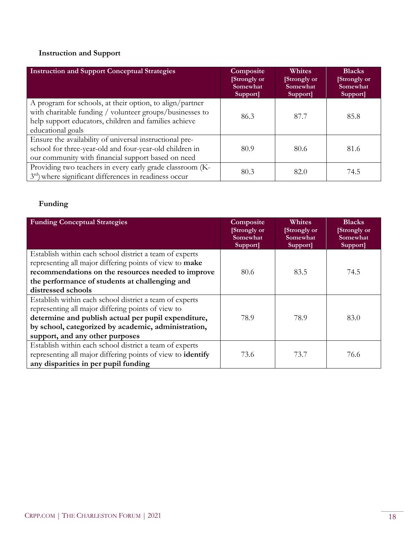# **Instruction and Support**

| <b>Instruction and Support Conceptual Strategies</b>                                                                                                                                               | Composite<br>[Strongly or<br>Somewhat<br>Support] | <b>Whites</b><br>[Strongly or<br>Somewhat<br>Support] | <b>Blacks</b><br>[Strongly or]<br>Somewhat<br>Support] |
|----------------------------------------------------------------------------------------------------------------------------------------------------------------------------------------------------|---------------------------------------------------|-------------------------------------------------------|--------------------------------------------------------|
| A program for schools, at their option, to align/partner<br>with charitable funding / volunteer groups/businesses to<br>help support educators, children and families achieve<br>educational goals | 86.3                                              | 87.7                                                  | 85.8                                                   |
| Ensure the availability of universal instructional pre-<br>school for three-year-old and four-year-old children in<br>our community with financial support based on need                           | 80.9                                              | 80.6                                                  | 81.6                                                   |
| Providing two teachers in every early grade classroom (K-<br>$3rd$ ) where significant differences in readiness occur                                                                              | 80.3                                              | 82.0                                                  | 74.5                                                   |

#### **Funding**

| <b>Funding Conceptual Strategies</b>                               | Composite<br>[Strongly or<br>Somewhat<br>Support] | Whites<br>[Strongly or<br>Somewhat<br>Support] | <b>Blacks</b><br>[Strongly or<br>Somewhat<br>Support] |
|--------------------------------------------------------------------|---------------------------------------------------|------------------------------------------------|-------------------------------------------------------|
| Establish within each school district a team of experts            |                                                   |                                                |                                                       |
| representing all major differing points of view to make            |                                                   |                                                |                                                       |
| recommendations on the resources needed to improve                 | 80.6                                              | 83.5                                           | 74.5                                                  |
| the performance of students at challenging and                     |                                                   |                                                |                                                       |
| distressed schools                                                 |                                                   |                                                |                                                       |
| Establish within each school district a team of experts            |                                                   |                                                |                                                       |
| representing all major differing points of view to                 |                                                   |                                                |                                                       |
| determine and publish actual per pupil expenditure,                | 78.9                                              | 78.9                                           | 83.0                                                  |
| by school, categorized by academic, administration,                |                                                   |                                                |                                                       |
| support, and any other purposes                                    |                                                   |                                                |                                                       |
| Establish within each school district a team of experts            |                                                   |                                                |                                                       |
| representing all major differing points of view to <b>identify</b> | 73.6                                              | 73.7                                           | 76.6                                                  |
| any disparities in per pupil funding                               |                                                   |                                                |                                                       |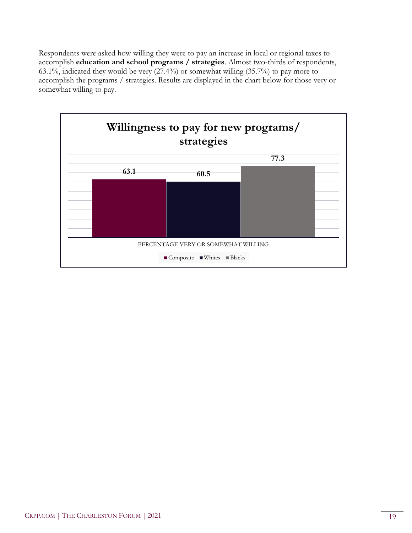Respondents were asked how willing they were to pay an increase in local or regional taxes to accomplish **education and school programs / strategies**. Almost two-thirds of respondents, 63.1%, indicated they would be very (27.4%) or somewhat willing (35.7%) to pay more to accomplish the programs / strategies. Results are displayed in the chart below for those very or somewhat willing to pay.

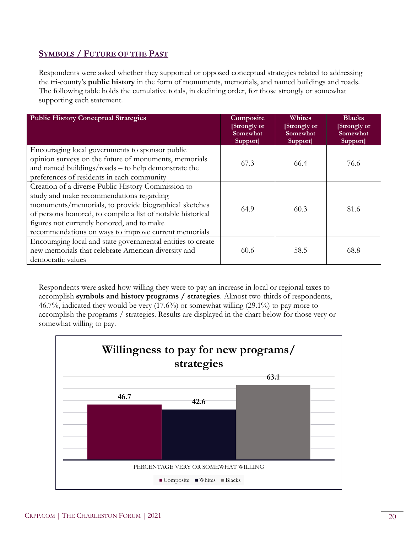### **SYMBOLS / FUTURE OF THE PAST**

Respondents were asked whether they supported or opposed conceptual strategies related to addressing the tri-county's **public history** in the form of monuments, memorials, and named buildings and roads. The following table holds the cumulative totals, in declining order, for those strongly or somewhat supporting each statement.

| <b>Public History Conceptual Strategies</b>                                                                                                                                                                                                                                                                                  | Composite<br>[Strongly or<br>Somewhat<br>Support] | Whites<br>[Strongly or<br>Somewhat<br>Support] | <b>Blacks</b><br>[Strongly or<br>Somewhat<br>Support] |
|------------------------------------------------------------------------------------------------------------------------------------------------------------------------------------------------------------------------------------------------------------------------------------------------------------------------------|---------------------------------------------------|------------------------------------------------|-------------------------------------------------------|
| Encouraging local governments to sponsor public<br>opinion surveys on the future of monuments, memorials<br>and named buildings/roads – to help demonstrate the<br>preferences of residents in each community                                                                                                                | 67.3                                              | 66.4                                           | 76.6                                                  |
| Creation of a diverse Public History Commission to<br>study and make recommendations regarding<br>monuments/memorials, to provide biographical sketches<br>of persons honored, to compile a list of notable historical<br>figures not currently honored, and to make<br>recommendations on ways to improve current memorials | 64.9                                              | 60.3                                           | 81.6                                                  |
| Encouraging local and state governmental entities to create<br>new memorials that celebrate American diversity and<br>democratic values                                                                                                                                                                                      | 60.6                                              | 58.5                                           | 68.8                                                  |

Respondents were asked how willing they were to pay an increase in local or regional taxes to accomplish **symbols and history programs / strategies**. Almost two-thirds of respondents, 46.7%, indicated they would be very (17.6%) or somewhat willing (29.1%) to pay more to accomplish the programs / strategies. Results are displayed in the chart below for those very or somewhat willing to pay.

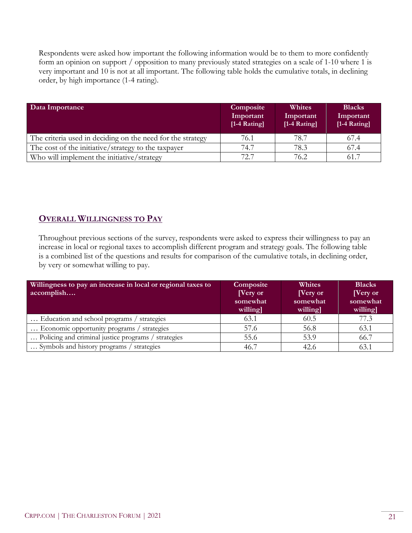Respondents were asked how important the following information would be to them to more confidently form an opinion on support / opposition to many previously stated strategies on a scale of 1-10 where 1 is very important and 10 is not at all important. The following table holds the cumulative totals, in declining order, by high importance (1-4 rating).

| Data Importance                                            | Composite<br>Important<br>$[1-4$ Rating] | <b>Whites</b><br>Important<br>[1-4 Rating] | <b>Blacks</b><br>Important<br>[1-4 Rating] |
|------------------------------------------------------------|------------------------------------------|--------------------------------------------|--------------------------------------------|
| The criteria used in deciding on the need for the strategy | 76.1                                     | 78.7                                       | 67.4                                       |
| The cost of the initiative/strategy to the taxpayer        | 74.7                                     | 78.3                                       | 67.4                                       |
| Who will implement the initiative/strategy                 | 72.7                                     | 76.2                                       | 61.7                                       |

# **OVERALL WILLINGNESS TO PAY**

Throughout previous sections of the survey, respondents were asked to express their willingness to pay an increase in local or regional taxes to accomplish different program and strategy goals. The following table is a combined list of the questions and results for comparison of the cumulative totals, in declining order, by very or somewhat willing to pay.

| Willingness to pay an increase in local or regional taxes to<br>accomplish | Composite<br>[Very or]<br>somewhat<br>willing | Whites<br><b>Nery</b> or<br>somewhat<br>willing] | <b>Blacks</b><br>[Very or]<br>somewhat<br>willing |
|----------------------------------------------------------------------------|-----------------------------------------------|--------------------------------------------------|---------------------------------------------------|
| Education and school programs / strategies                                 | 63.1                                          | 60.5                                             | 77.3                                              |
| Economic opportunity programs / strategies                                 | 57.6                                          | 56.8                                             | 63.1                                              |
| Policing and criminal justice programs / strategies                        | 55.6                                          | 53.9                                             | 66.7                                              |
| Symbols and history programs / strategies                                  | 46.7                                          | 42.6                                             | 63.1                                              |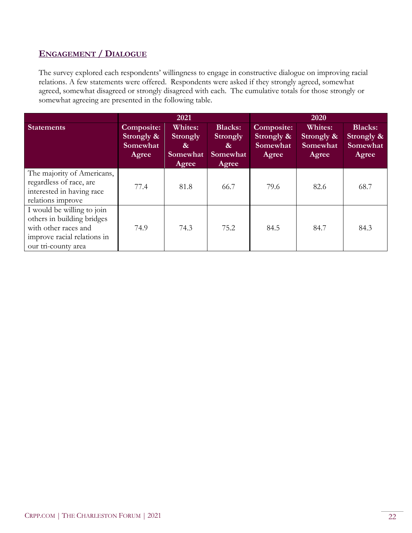### **ENGAGEMENT / DIALOGUE**

The survey explored each respondents' willingness to engage in constructive dialogue on improving racial relations. A few statements were offered. Respondents were asked if they strongly agreed, somewhat agreed, somewhat disagreed or strongly disagreed with each. The cumulative totals for those strongly or somewhat agreeing are presented in the following table.

|                                                                                                                                        | 2021                                          |                                                      |                                                                    | 2020                                                 |                                            |                                                   |
|----------------------------------------------------------------------------------------------------------------------------------------|-----------------------------------------------|------------------------------------------------------|--------------------------------------------------------------------|------------------------------------------------------|--------------------------------------------|---------------------------------------------------|
| <b>Statements</b>                                                                                                                      | Composite:<br>Strongly &<br>Somewhat<br>Agree | <b>Whites:</b><br>Strongly<br>&<br>Somewhat<br>Agree | <b>Blacks:</b><br><b>Strongly</b><br>$\alpha$<br>Somewhat<br>Agree | <b>Composite:</b><br>Strongly &<br>Somewhat<br>Agree | Whites:<br>Strongly &<br>Somewhat<br>Agree | <b>Blacks:</b><br>Strongly &<br>Somewhat<br>Agree |
| The majority of Americans,<br>regardless of race, are<br>interested in having race<br>relations improve                                | 77.4                                          | 81.8                                                 | 66.7                                                               | 79.6                                                 | 82.6                                       | 68.7                                              |
| I would be willing to join<br>others in building bridges<br>with other races and<br>improve racial relations in<br>our tri-county area | 74.9                                          | 74.3                                                 | 75.2                                                               | 84.5                                                 | 84.7                                       | 84.3                                              |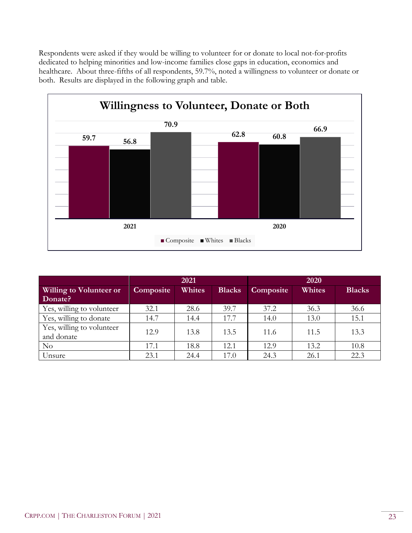Respondents were asked if they would be willing to volunteer for or donate to local not-for-profits dedicated to helping minorities and low-income families close gaps in education, economics and healthcare. About three-fifths of all respondents, 59.7%, noted a willingness to volunteer or donate or both. Results are displayed in the following graph and table.



|                                | 2021      |        |               | 2020      |        |               |
|--------------------------------|-----------|--------|---------------|-----------|--------|---------------|
| <b>Willing to Volunteer or</b> | Composite | Whites | <b>Blacks</b> | Composite | Whites | <b>Blacks</b> |
| Donate?                        |           |        |               |           |        |               |
| Yes, willing to volunteer      | 32.1      | 28.6   | 39.7          | 37.2      | 36.3   | 36.6          |
| Yes, willing to donate         | 14.7      | 14.4   | 17.7          | 14.0      | 13.0   | 15.1          |
| Yes, willing to volunteer      | 12.9      | 13.8   | 13.5          | 11.6      | 11.5   | 13.3          |
| and donate                     |           |        |               |           |        |               |
| No                             | 17.1      | 18.8   | 12.1          | 12.9      | 13.2   | 10.8          |
| Unsure                         | 23.1      | 24.4   | 17.0          | 24.3      | 26.1   | 22.3          |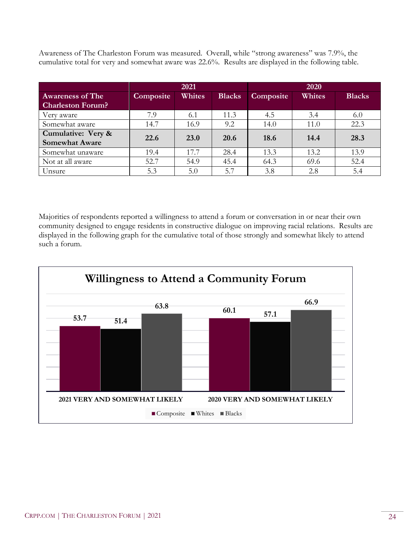Awareness of The Charleston Forum was measured. Overall, while "strong awareness" was 7.9%, the cumulative total for very and somewhat aware was 22.6%. Results are displayed in the following table.

|                          |                  | 2021        |               |           | 2020   |               |
|--------------------------|------------------|-------------|---------------|-----------|--------|---------------|
| <b>Awareness of The</b>  | <b>Composite</b> | Whites      | <b>Blacks</b> | Composite | Whites | <b>Blacks</b> |
| <b>Charleston Forum?</b> |                  |             |               |           |        |               |
| Very aware               | 7.9              | 6.1         | 11.3          | 4.5       | 3.4    | 6.0           |
| Somewhat aware           | 14.7             | 16.9        | 9.2           | 14.0      | 11.0   | 22.3          |
| Cumulative: Very &       | 22.6             | <b>23.0</b> | <b>20.6</b>   | 18.6      | 14.4   | 28.3          |
| <b>Somewhat Aware</b>    |                  |             |               |           |        |               |
| Somewhat unaware         | 19.4             | 17.7        | 28.4          | 13.3      | 13.2   | 13.9          |
| Not at all aware         | 52.7             | 54.9        | 45.4          | 64.3      | 69.6   | 52.4          |
| Unsure                   | 5.3              | 5.0         | 5.7           | 3.8       | 2.8    | 5.4           |

Majorities of respondents reported a willingness to attend a forum or conversation in or near their own community designed to engage residents in constructive dialogue on improving racial relations. Results are displayed in the following graph for the cumulative total of those strongly and somewhat likely to attend such a forum.

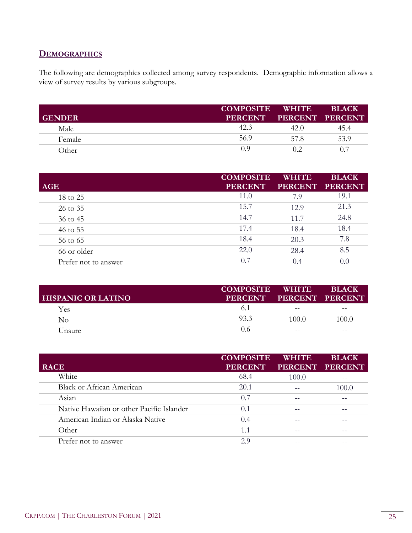#### **DEMOGRAPHICS**

The following are demographics collected among survey respondents. Demographic information allows a view of survey results by various subgroups.

| <b>GENDER</b> | <b>COMPOSITE</b><br><b>PERCENT</b> | WHITE<br>PERCENT PERCENT | <b>BLACK</b> |
|---------------|------------------------------------|--------------------------|--------------|
| Male          | 42.3                               | 42.0                     | 45.4         |
| Female        | 56.9                               | 57 8                     | 53.9         |
| Other         | $()$ $()$                          | 02                       | 0.7          |

| <b>AGE</b>           | <b>COMPOSITE</b><br><b>PERCENT</b> | <b>WHITE</b> | <b>BLACK</b><br>PERCENT PERCENT |
|----------------------|------------------------------------|--------------|---------------------------------|
| 18 to 25             | 11.0                               | 7.9          | 19.1                            |
| 26 to 35             | 15.7                               | 12.9         | 21.3                            |
| 36 to 45             | 14.7                               | 11.7         | 24.8                            |
| 46 to 55             | 17.4                               | 18.4         | 18.4                            |
| 56 to 65             | 18.4                               | 20.3         | 7.8                             |
| 66 or older          | 22.0                               | 28.4         | 8.5                             |
| Prefer not to answer | 0.7                                | 0.4          | 0.0                             |

| <b>HISPANIC OR LATINO</b> | <b>COMPOSITE</b><br>PERCENT PERCENT PERCENT | <b>WHITE</b> | <b>BLACK</b> |
|---------------------------|---------------------------------------------|--------------|--------------|
| Yes                       |                                             | $- -$        | $- -$        |
| No                        | 93.3                                        | 100.0        | 100.0        |
| Unsure                    | 0.6                                         | $- -$        | $- -$        |

| <b>RACE</b>                               | <b>COMPOSITE</b><br><b>PERCENT</b> | <b>WHITE</b> | <b>BLACK</b><br>PERCENT PERCENT |
|-------------------------------------------|------------------------------------|--------------|---------------------------------|
| White                                     | 68.4                               | 100.0        |                                 |
| <b>Black or African American</b>          | 20.1                               |              | 100.0                           |
| Asian                                     | 0.7                                |              |                                 |
| Native Hawaiian or other Pacific Islander | 0.1                                | --           |                                 |
| American Indian or Alaska Native          | 0.4                                | $- -$        |                                 |
| Other                                     | 1.1                                |              |                                 |
| Prefer not to answer                      | 29                                 |              |                                 |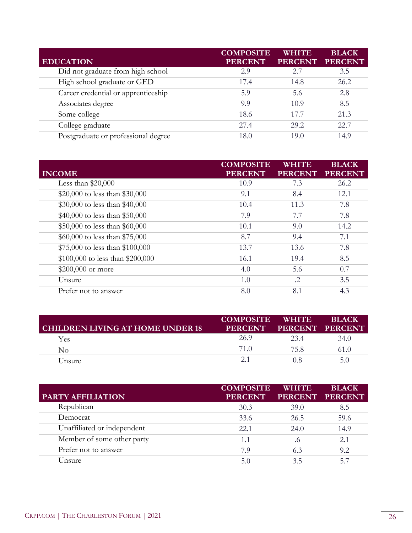|                                     | <b>COMPOSITE</b> | <b>WHITE</b>   | <b>BLACK</b>   |
|-------------------------------------|------------------|----------------|----------------|
| <b>EDUCATION</b>                    | <b>PERCENT</b>   | <b>PERCENT</b> | <b>PERCENT</b> |
| Did not graduate from high school   | 2.9              | 2.7            | 3.5            |
| High school graduate or GED         | 17.4             | 14.8           | 26.2           |
| Career credential or apprenticeship | 5.9              | 5.6            | 2.8            |
| Associates degree                   | 9.9              | 10.9           | 8.5            |
| Some college                        | 18.6             | 17.7           | 21.3           |
| College graduate                    | 27.4             | 29.2           | 22.7           |
| Postgraduate or professional degree | 18.0             | 19.0           | 14.9           |

| <b>INCOME</b>                    | <b>COMPOSITE</b><br><b>PERCENT</b> | WHITE<br><b>PERCENT</b> | <b>BLACK</b><br><b>PERCENT</b> |
|----------------------------------|------------------------------------|-------------------------|--------------------------------|
| Less than $$20,000$              | 10.9                               | 7.3                     | 26.2                           |
| \$20,000 to less than \$30,000   | 9.1                                | 8.4                     | 12.1                           |
| \$30,000 to less than \$40,000   | 10.4                               | 11.3                    | 7.8                            |
| \$40,000 to less than \$50,000   | 7.9                                | 7.7                     | 7.8                            |
| \$50,000 to less than \$60,000   | 10.1                               | 9.0                     | 14.2                           |
| \$60,000 to less than \$75,000   | 8.7                                | 9.4                     | 7.1                            |
| \$75,000 to less than \$100,000  | 13.7                               | 13.6                    | 7.8                            |
| \$100,000 to less than \$200,000 | 16.1                               | 19.4                    | 8.5                            |
| \$200,000 or more                | 4.0                                | 5.6                     | 0.7                            |
| Unsure                           | 1.0                                | .2                      | 3.5                            |
| Prefer not to answer             | 8.0                                | 8.1                     | 4.3                            |

| <b>CHILDREN LIVING AT HOME UNDER 18</b> | <b>COMPOSITE</b><br><b>PERCENT</b> | <b>WHITE</b><br>PERCENT PERCENT | <b>BLACK</b> |
|-----------------------------------------|------------------------------------|---------------------------------|--------------|
| Yes                                     | 26.9                               | 234                             | 34.0         |
| $\rm No$                                | 71 Q                               | 75.8                            | 61.0         |
| Unsure                                  |                                    |                                 | 5.0          |

| PARTY AFFILIATION           | <b>COMPOSITE</b><br><b>PERCENT</b> | <b>WHITE</b> | <b>BLACK</b><br>PERCENT PERCENT |
|-----------------------------|------------------------------------|--------------|---------------------------------|
| Republican                  | 30.3                               | 39.0         | 8.5                             |
| Democrat                    | 33.6                               | 26.5         | 59.6                            |
| Unaffiliated or independent | 22.1                               | 24.0         | 14.9                            |
| Member of some other party  | 1.1                                | .6           | 2.1                             |
| Prefer not to answer        | 79                                 | 6.3          | 9.2                             |
| Unsure                      | 51                                 | 3.5          | 57                              |